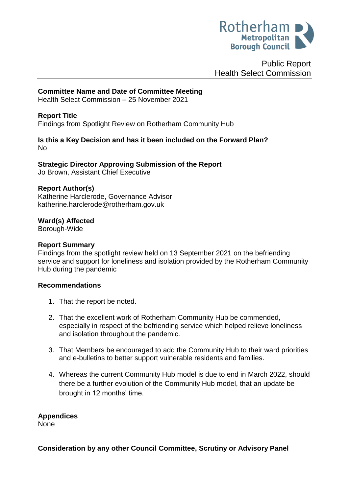

Public Report Health Select Commission

## **Committee Name and Date of Committee Meeting**

Health Select Commission – 25 November 2021

### **Report Title**

<span id="page-0-0"></span>Findings from Spotlight Review on Rotherham Community Hub

#### **Is this a Key Decision and has it been included on the Forward Plan?**  No

**Strategic Director Approving Submission of the Report**

Jo Brown, Assistant Chief Executive

### **Report Author(s)**

<span id="page-0-1"></span>Katherine Harclerode, Governance Advisor katherine.harclerode@rotherham.gov.uk

**Ward(s) Affected**

Borough-Wide

#### **Report Summary**

Findings from the spotlight review held on 13 September 2021 on the befriending service and support for loneliness and isolation provided by the Rotherham Community Hub during the pandemic

### **Recommendations**

- 1. That the report be noted.
- 2. That the excellent work of Rotherham Community Hub be commended, especially in respect of the befriending service which helped relieve loneliness and isolation throughout the pandemic.
- 3. That Members be encouraged to add the Community Hub to their ward priorities and e-bulletins to better support vulnerable residents and families.
- 4. Whereas the current Community Hub model is due to end in March 2022, should there be a further evolution of the Community Hub model, that an update be brought in 12 months' time.

### **Appendices**

None

**Consideration by any other Council Committee, Scrutiny or Advisory Panel**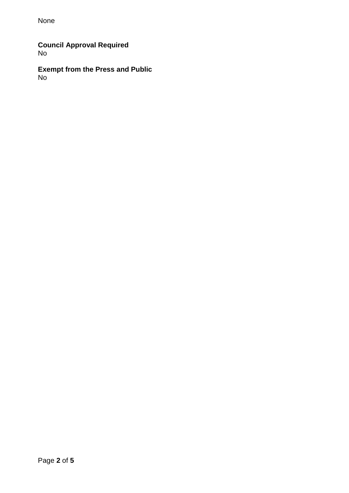None

**Council Approval Required** No

**Exempt from the Press and Public** No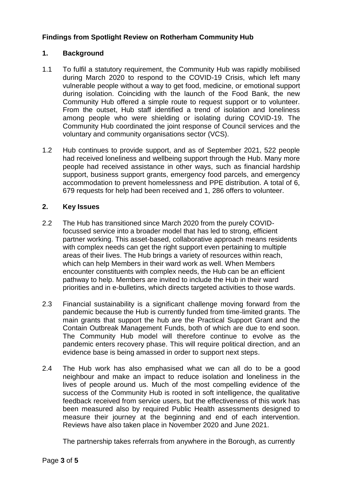# **[Findings from Spotlight Review on](#page-0-0) Rotherham Community Hub**

# **1. Background**

- 1.1 To fulfil a statutory requirement, the Community Hub was rapidly mobilised during March 2020 to respond to the COVID-19 Crisis, which left many vulnerable people without a way to get food, medicine, or emotional support during isolation. Coinciding with the launch of the Food Bank, the new Community Hub offered a simple route to request support or to volunteer. From the outset, Hub staff identified a trend of isolation and loneliness among people who were shielding or isolating during COVID-19. The Community Hub coordinated the joint response of Council services and the voluntary and community organisations sector (VCS).
- 1.2 Hub continues to provide support, and as of September 2021, 522 people had received loneliness and wellbeing support through the Hub. Many more people had received assistance in other ways, such as financial hardship support, business support grants, emergency food parcels, and emergency accommodation to prevent homelessness and PPE distribution. A total of 6, 679 requests for help had been received and 1, 286 offers to volunteer.

## **2. Key Issues**

- 2.2 The Hub has transitioned since March 2020 from the purely COVIDfocussed service into a broader model that has led to strong, efficient partner working. This asset-based, collaborative approach means residents with complex needs can get the right support even pertaining to multiple areas of their lives. The Hub brings a variety of resources within reach, which can help Members in their ward work as well. When Members encounter constituents with complex needs, the Hub can be an efficient pathway to help. Members are invited to include the Hub in their ward priorities and in e-bulletins, which directs targeted activities to those wards.
- 2.3 Financial sustainability is a significant challenge moving forward from the pandemic because the Hub is currently funded from time-limited grants. The main grants that support the hub are the Practical Support Grant and the Contain Outbreak Management Funds, both of which are due to end soon. The Community Hub model will therefore continue to evolve as the pandemic enters recovery phase. This will require political direction, and an evidence base is being amassed in order to support next steps.
- 2.4 The Hub work has also emphasised what we can all do to be a good neighbour and make an impact to reduce isolation and loneliness in the lives of people around us. Much of the most compelling evidence of the success of the Community Hub is rooted in soft intelligence, the qualitative feedback received from service users, but the effectiveness of this work has been measured also by required Public Health assessments designed to measure their journey at the beginning and end of each intervention. Reviews have also taken place in November 2020 and June 2021.

The partnership takes referrals from anywhere in the Borough, as currently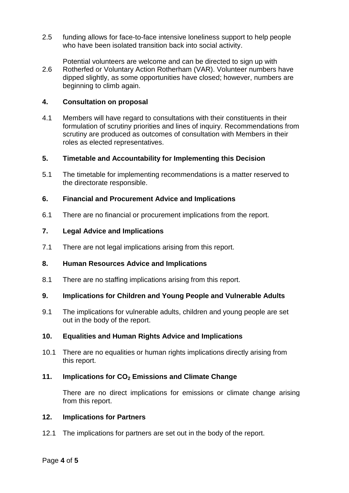- 2.5 funding allows for face-to-face intensive loneliness support to help people who have been isolated transition back into social activity.
- 2.6 Potential volunteers are welcome and can be directed to sign up with Rotherfed or Voluntary Action Rotherham (VAR). Volunteer numbers have dipped slightly, as some opportunities have closed; however, numbers are beginning to climb again.

### **4. Consultation on proposal**

4.1 Members will have regard to consultations with their constituents in their formulation of scrutiny priorities and lines of inquiry. Recommendations from scrutiny are produced as outcomes of consultation with Members in their roles as elected representatives.

### **5. Timetable and Accountability for Implementing this Decision**

5.1 The timetable for implementing recommendations is a matter reserved to the directorate responsible.

## **6. Financial and Procurement Advice and Implications**

6.1 There are no financial or procurement implications from the report.

## **7. Legal Advice and Implications**

7.1 There are not legal implications arising from this report.

### **8. Human Resources Advice and Implications**

8.1 There are no staffing implications arising from this report.

### **9. Implications for Children and Young People and Vulnerable Adults**

9.1 The implications for vulnerable adults, children and young people are set out in the body of the report.

### **10. Equalities and Human Rights Advice and Implications**

10.1 There are no equalities or human rights implications directly arising from this report.

### **11. Implications for CO<sup>2</sup> Emissions and Climate Change**

There are no direct implications for emissions or climate change arising from this report.

### **12. Implications for Partners**

12.1 The implications for partners are set out in the body of the report.